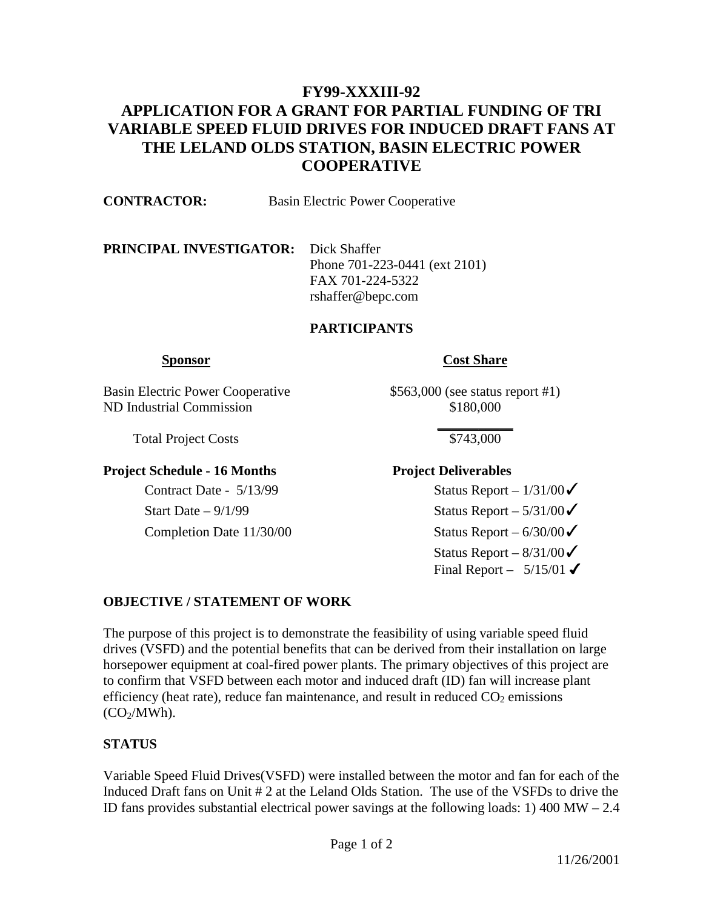# **FY99-XXXIII-92 APPLICATION FOR A GRANT FOR PARTIAL FUNDING OF TRI VARIABLE SPEED FLUID DRIVES FOR INDUCED DRAFT FANS AT THE LELAND OLDS STATION, BASIN ELECTRIC POWER COOPERATIVE**

| <b>CONTRACTOR:</b>                          | Basin Electric Power Cooperative |                                 |
|---------------------------------------------|----------------------------------|---------------------------------|
| <b>PRINCIPAL INVESTIGATOR:</b> Dick Shaffer |                                  | Phone $701-223-0441$ (ext 2101) |

 FAX 701-224-5322 rshaffer@bepc.com

#### **PARTICIPANTS**

### **Sponsor** Cost Share

Basin Electric Power Cooperative \$563,000 (see status report #1) ND Industrial Commission \$180,000

Total Project Costs \$743,000

## **Project Schedule - 16 Months Project Deliverables**

 **\_\_\_\_\_\_\_\_\_\_\_**

Contract Date -  $5/13/99$  Status Report –  $1/31/00\checkmark$ Start Date –  $9/1/99$  Status Report –  $5/31/00$ Completion Date  $11/30/00$  Status Report – 6/30/00 $\checkmark$ Status Report –  $8/31/00$ Final Report –  $5/15/01$ 

## **OBJECTIVE / STATEMENT OF WORK**

The purpose of this project is to demonstrate the feasibility of using variable speed fluid drives (VSFD) and the potential benefits that can be derived from their installation on large horsepower equipment at coal-fired power plants. The primary objectives of this project are to confirm that VSFD between each motor and induced draft (ID) fan will increase plant efficiency (heat rate), reduce fan maintenance, and result in reduced  $CO<sub>2</sub>$  emissions  $(CO<sub>2</sub>/MWh)$ .

## **STATUS**

Variable Speed Fluid Drives(VSFD) were installed between the motor and fan for each of the Induced Draft fans on Unit # 2 at the Leland Olds Station. The use of the VSFDs to drive the ID fans provides substantial electrical power savings at the following loads: 1) 400 MW – 2.4